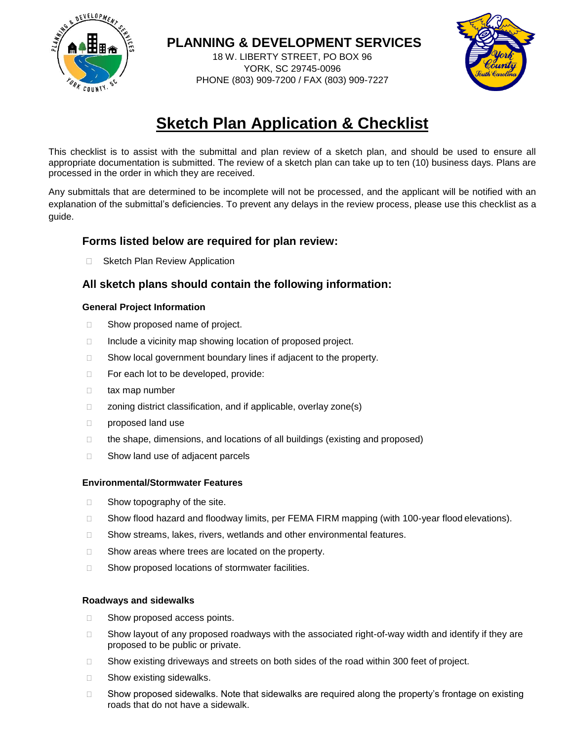

### **PLANNING & DEVELOPMENT SERVICES**

18 W. LIBERTY STREET, PO BOX 96 YORK, SC 29745-0096 PHONE (803) 909-7200 / FAX (803) 909-7227



# **Sketch Plan Application & Checklist**

This checklist is to assist with the submittal and plan review of a sketch plan, and should be used to ensure all appropriate documentation is submitted. The review of a sketch plan can take up to ten (10) business days. Plans are processed in the order in which they are received.

Any submittals that are determined to be incomplete will not be processed, and the applicant will be notified with an explanation of the submittal's deficiencies. To prevent any delays in the review process, please use this checklist as a guide.

### **Forms listed below are required for plan review:**

□ Sketch Plan Review Application

### **All sketch plans should contain the following information:**

#### **General Project Information**

- □ Show proposed name of project.
- $\Box$  Include a vicinity map showing location of proposed project.
- □ Show local government boundary lines if adjacent to the property.
- $\Box$  For each lot to be developed, provide:
- □ tax map number
- □ zoning district classification, and if applicable, overlay zone(s)
- proposed land use
- $\Box$  the shape, dimensions, and locations of all buildings (existing and proposed)
- $\Box$  Show land use of adjacent parcels

#### **Environmental/Stormwater Features**

- $\Box$  Show topography of the site.
- □ Show flood hazard and floodway limits, per FEMA FIRM mapping (with 100-year flood elevations).
- □ Show streams, lakes, rivers, wetlands and other environmental features.
- $\Box$  Show areas where trees are located on the property.
- □ Show proposed locations of stormwater facilities.

#### **Roadways and sidewalks**

- □ Show proposed access points.
- $\square$  Show layout of any proposed roadways with the associated right-of-way width and identify if they are proposed to be public or private.
- □ Show existing driveways and streets on both sides of the road within 300 feet of project.
- □ Show existing sidewalks.
- $\square$  Show proposed sidewalks. Note that sidewalks are required along the property's frontage on existing roads that do not have a sidewalk.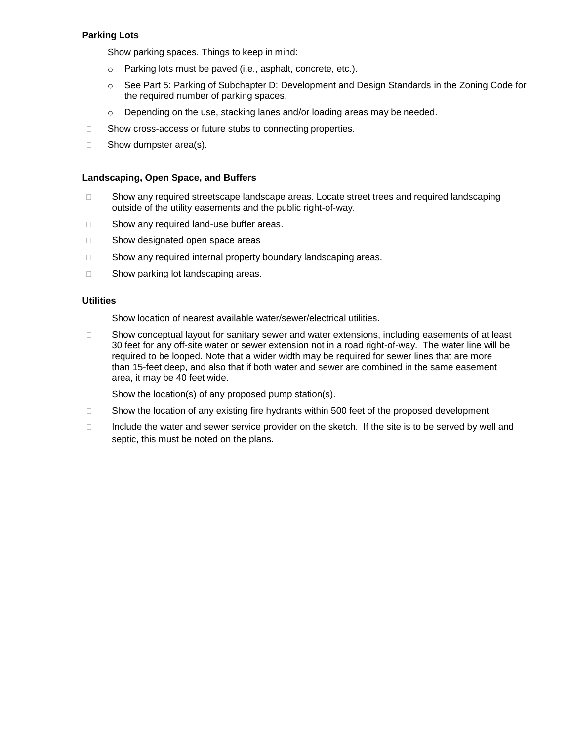#### **Parking Lots**

- $\Box$  Show parking spaces. Things to keep in mind:
	- o Parking lots must be paved (i.e., asphalt, concrete, etc.).
	- o See Part 5: Parking of Subchapter D: Development and Design Standards in the Zoning Code for the required number of parking spaces.
	- o Depending on the use, stacking lanes and/or loading areas may be needed.
- □ Show cross-access or future stubs to connecting properties.
- $\Box$  Show dumpster area(s).

#### **Landscaping, Open Space, and Buffers**

- □ Show any required streetscape landscape areas. Locate street trees and required landscaping outside of the utility easements and the public right-of-way.
- □ Show any required land-use buffer areas.
- □ Show designated open space areas
- □ Show any required internal property boundary landscaping areas.
- □ Show parking lot landscaping areas.

#### **Utilities**

- □ Show location of nearest available water/sewer/electrical utilities.
- □ Show conceptual layout for sanitary sewer and water extensions, including easements of at least 30 feet for any off-site water or sewer extension not in a road right-of-way. The water line will be required to be looped. Note that a wider width may be required for sewer lines that are more than 15-feet deep, and also that if both water and sewer are combined in the same easement area, it may be 40 feet wide.
- $\Box$  Show the location(s) of any proposed pump station(s).
- □ Show the location of any existing fire hydrants within 500 feet of the proposed development
- $\Box$  Include the water and sewer service provider on the sketch. If the site is to be served by well and septic, this must be noted on the plans.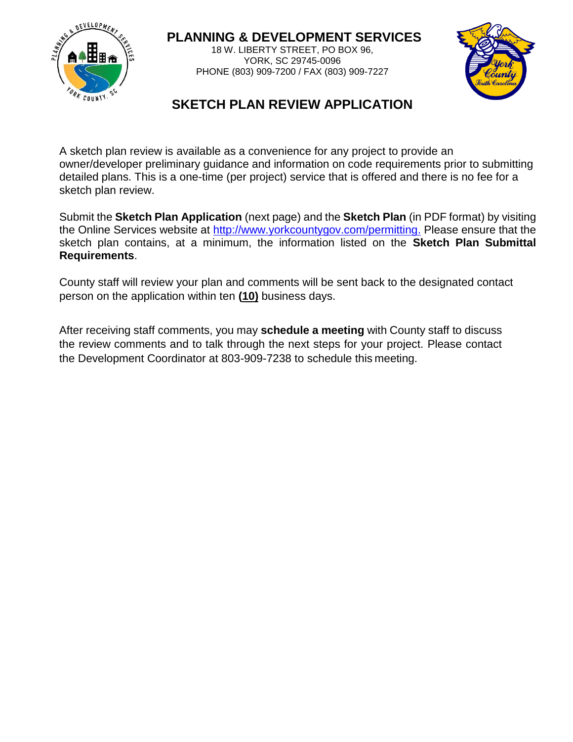

### **PLANNING & DEVELOPMENT SERVICES**

18 W. LIBERTY STREET, PO BOX 96, YORK, SC 29745-0096 PHONE (803) 909-7200 / FAX (803) 909-7227



## **SKETCH PLAN REVIEW APPLICATION**

A sketch plan review is available as a convenience for any project to provide an owner/developer preliminary guidance and information on code requirements prior to submitting detailed plans. This is a one-time (per project) service that is offered and there is no fee for a sketch plan review.

Submit the **Sketch Plan Application** (next page) and the **Sketch Plan** (in PDF format) by visiting the Online Services website at [http://www.yorkcountygov.com/permitting.](http://www.yorkcountygov.com/permitting) Please ensure that the sketch plan contains, at a minimum, the information listed on the **Sketch Plan Submittal Requirements**.

County staff will review your plan and comments will be sent back to the designated contact person on the application within ten **(10)** business days.

After receiving staff comments, you may **schedule a meeting** with County staff to discuss the review comments and to talk through the next steps for your project. Please contact the Development Coordinator at 803-909-7238 to schedule this meeting.